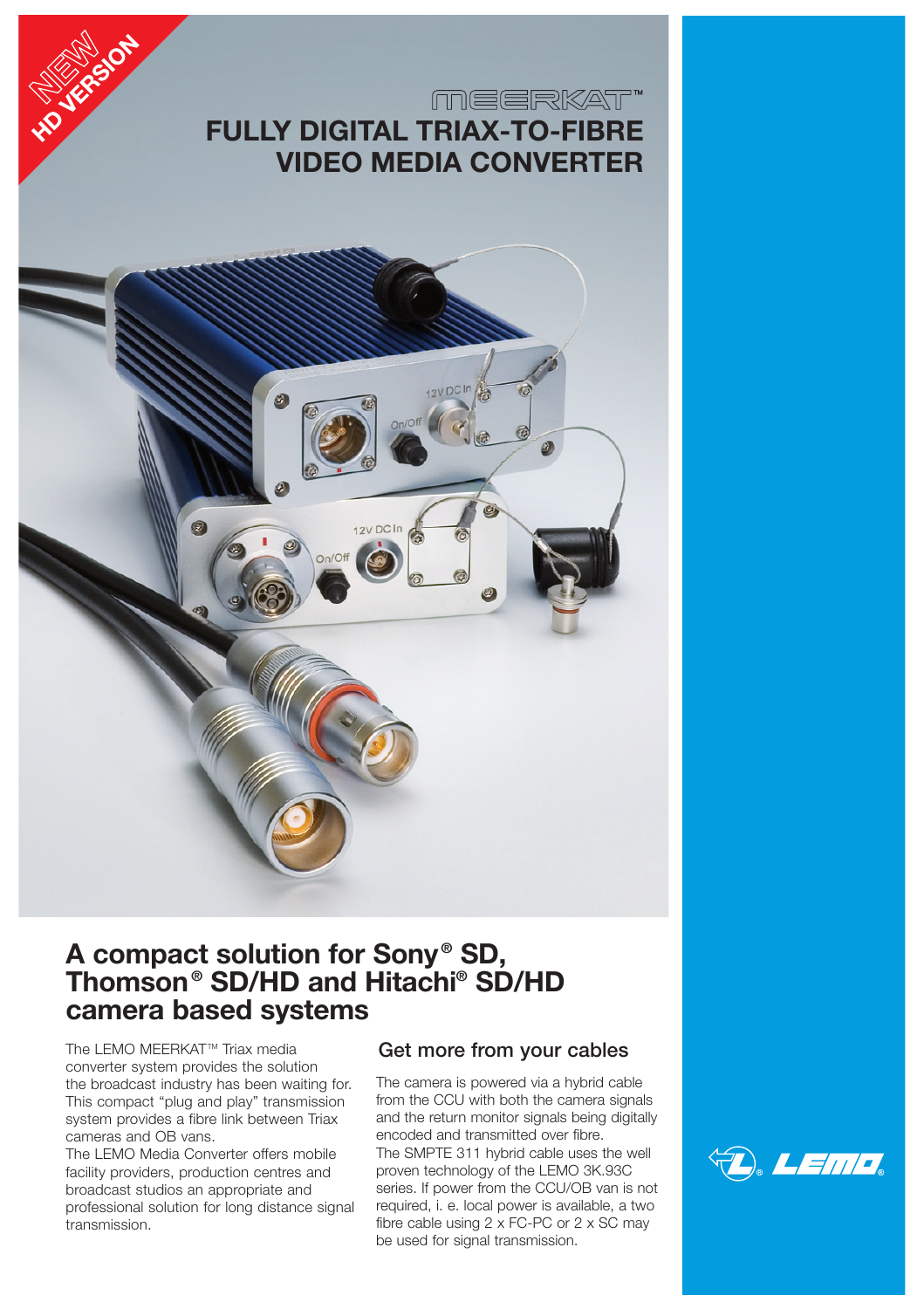



# **A compact solution for Sony ® SD, Thomson ® SD/HD and Hitachi® SD/HD camera based systems**

The LEMO MEERKAT™ Triax media converter system provides the solution the broadcast industry has been waiting for. This compact "plug and play" transmission system provides a fibre link between Triax cameras and OB vans.

**HOVERS** ON

The LEMO Media Converter offers mobile facility providers, production centres and broadcast studios an appropriate and professional solution for long distance signal transmission.

## **Get more from your cables**

The camera is powered via a hybrid cable from the CCU with both the camera signals and the return monitor signals being digitally encoded and transmitted over fibre. The SMPTE 311 hybrid cable uses the well proven technology of the LEMO 3K.93C series. If power from the CCU/OB van is not required, i. e. local power is available, a two fibre cable using 2 x FC-PC or 2 x SC may be used for signal transmission.